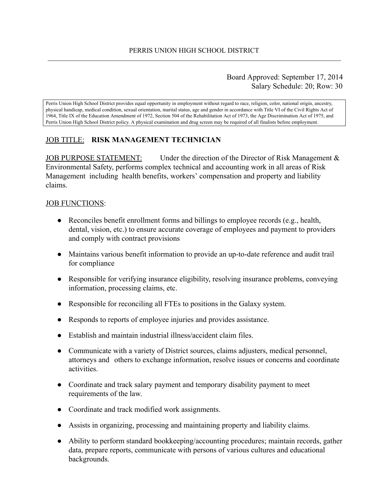#### Board Approved: September 17, 2014 Salary Schedule: 20; Row: 30

Perris Union High School District provides equal opportunity in employment without regard to race, religion, color, national origin, ancestry, physical handicap, medical condition, sexual orientation, marital status, age and gender in accordance with Title VI of the Civil Rights Act of 1964, Title IX of the Education Amendment of 1972, Section 504 of the Rehabilitation Act of 1973, the Age Discrimination Act of 1975, and Perris Union High School District policy. A physical examination and drug screen may be required of all finalists before employment.

## JOB TITLE: **RISK MANAGEMENT TECHNICIAN**

JOB PURPOSE STATEMENT: Under the direction of the Director of Risk Management  $\&$ Environmental Safety, performs complex technical and accounting work in all areas of Risk Management including health benefits, workers' compensation and property and liability claims.

#### JOB FUNCTIONS:

- $\bullet$  Reconciles benefit enrollment forms and billings to employee records (e.g., health, dental, vision, etc.) to ensure accurate coverage of employees and payment to providers and comply with contract provisions
- Maintains various benefit information to provide an up-to-date reference and audit trail for compliance
- Responsible for verifying insurance eligibility, resolving insurance problems, conveying information, processing claims, etc.
- Responsible for reconciling all FTEs to positions in the Galaxy system.
- Responds to reports of employee injuries and provides assistance.
- Establish and maintain industrial illness/accident claim files.
- Communicate with a variety of District sources, claims adjusters, medical personnel, attorneys and others to exchange information, resolve issues or concerns and coordinate activities.
- Coordinate and track salary payment and temporary disability payment to meet requirements of the law.
- Coordinate and track modified work assignments.
- Assists in organizing, processing and maintaining property and liability claims.
- Ability to perform standard bookkeeping/accounting procedures; maintain records, gather data, prepare reports, communicate with persons of various cultures and educational backgrounds.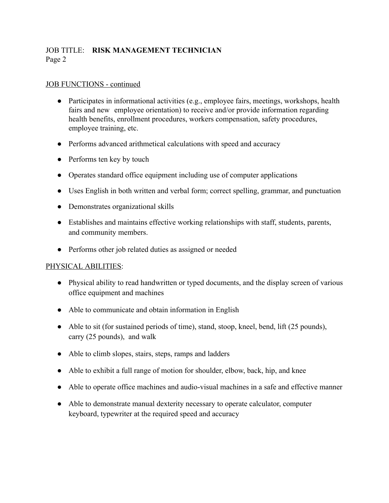# JOB TITLE: **RISK MANAGEMENT TECHNICIAN** Page 2

#### JOB FUNCTIONS - continued

- Participates in informational activities (e.g., employee fairs, meetings, workshops, health fairs and new employee orientation) to receive and/or provide information regarding health benefits, enrollment procedures, workers compensation, safety procedures, employee training, etc.
- Performs advanced arithmetical calculations with speed and accuracy
- Performs ten key by touch
- Operates standard office equipment including use of computer applications
- Uses English in both written and verbal form; correct spelling, grammar, and punctuation
- Demonstrates organizational skills
- Establishes and maintains effective working relationships with staff, students, parents, and community members.
- Performs other job related duties as assigned or needed

## PHYSICAL ABILITIES :

- Physical ability to read handwritten or typed documents, and the display screen of various office equipment and machines
- Able to communicate and obtain information in English
- Able to sit (for sustained periods of time), stand, stoop, kneel, bend, lift (25 pounds), carry (25 pounds), and walk
- Able to climb slopes, stairs, steps, ramps and ladders
- Able to exhibit a full range of motion for shoulder, elbow, back, hip, and knee
- Able to operate office machines and audio-visual machines in a safe and effective manner
- Able to demonstrate manual dexterity necessary to operate calculator, computer keyboard, typewriter at the required speed and accuracy